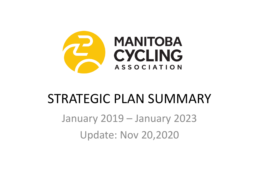

### STRATEGIC PLAN SUMMARY

January 2019 – January 2023 Update: Nov 20,2020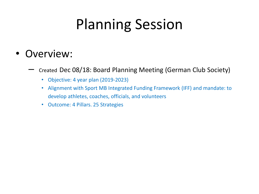## Planning Session

#### • Overview:

– Created Dec 08/18: Board Planning Meeting (German Club Society)

- Objective: 4 year plan (2019-2023)
- Alignment with Sport MB Integrated Funding Framework (IFF) and mandate: to develop athletes, coaches, officials, and volunteers
- Outcome: 4 Pillars. 25 Strategies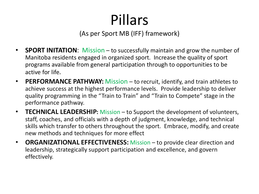# Pillars

(As per Sport MB (IFF) framework)

- **SPORT INITATION**: Mission to successfully maintain and grow the number of Manitoba residents engaged in organized sport. Increase the quality of sport programs available from general participation through to opportunities to be active for life.
- **PERFORMANCE PATHWAY:** Mission to recruit, identify, and train athletes to achieve success at the highest performance levels. Provide leadership to deliver quality programming in the "Train to Train" and "Train to Compete" stage in the performance pathway.
- **TECHNICAL LEADERSHIP:** Mission to Support the development of volunteers, staff, coaches, and officials with a depth of judgment, knowledge, and technical skills which transfer to others throughout the sport. Embrace, modify, and create new methods and techniques for more effect
- **ORGANIZATIONAL EFFECTIVENESS:** Mission to provide clear direction and leadership, strategically support participation and excellence, and govern effectively.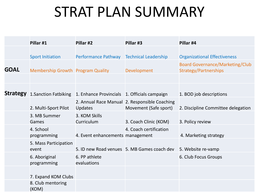### STRAT PLAN SUMMARY

|             | Pillar #1                             | Pillar #2                                    | Pillar #3                                                              | Pillar #4                                                       |
|-------------|---------------------------------------|----------------------------------------------|------------------------------------------------------------------------|-----------------------------------------------------------------|
|             | <b>Sport Initiation</b>               | Performance Pathway                          | <b>Technical Leadership</b>                                            | <b>Organizational Effectiveness</b>                             |
| <b>GOAL</b> | Membership Growth Program Quality     |                                              | Development                                                            | <b>Board Governance/Marketing/Club</b><br>Strategy/Partnerships |
|             |                                       |                                              |                                                                        |                                                                 |
|             | <b>Strategy</b> 1. Sanction Fatbiking | 1. Enhance Provincials 1. Officials campaign |                                                                        | 1. BOD job descriptions                                         |
|             | 2. Multi-Sport Pilot                  | <b>Updates</b>                               | 2. Annual Race Manual 2. Responsible Coaching<br>Movement (Safe sport) | 2. Discipline Committee delegation                              |
|             | 3. MB Summer<br>Games                 | 3. KOM Skills<br>Curriculum                  | 3. Coach Clinic (KOM)                                                  | 3. Policy review                                                |
|             | 4. School<br>programming              | 4. Event enhancements management             | 4. Coach certification                                                 | 4. Marketing strategy                                           |
|             | 5. Mass Participation<br>event        |                                              | 5. ID new Road venues 5. MB Games coach dev                            | 5. Website re-vamp                                              |
|             | 6. Aboriginal<br>programming          | 6. PP athlete<br>evaluations                 |                                                                        | 6. Club Focus Groups                                            |
|             | 7. Expand KOM Clubs                   |                                              |                                                                        |                                                                 |
|             | 8. Club mentoring<br>(KOM)            |                                              |                                                                        |                                                                 |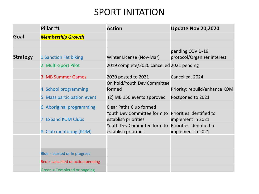#### SPORT INITATION

|                 | Pillar #1                         | <b>Action</b>                                       | <b>Update Nov 20,2020</b>                       |
|-----------------|-----------------------------------|-----------------------------------------------------|-------------------------------------------------|
| Goal            | <b>Membership Growth</b>          |                                                     |                                                 |
|                 |                                   |                                                     |                                                 |
| <b>Strategy</b> | 1. Sanction Fat biking            | Winter License (Nov-Mar)                            | pending COVID-19<br>protocol/Organizer interest |
|                 | 2. Multi-Sport Pilot              | 2019 complete/2020 cancelled 2021 pending           |                                                 |
|                 | 3. MB Summer Games                | 2020 posted to 2021                                 | Cancelled. 2024                                 |
|                 | 4. School programming             | On hold/Youth Dev Committee<br>formed               | Priority: rebuild/enhance KOM                   |
|                 | 5. Mass participation event       | (2) MB 150 events approved                          | Postponed to 2021                               |
|                 | 6. Aboriginal programming         | <b>Clear Paths Club formed</b>                      |                                                 |
|                 | 7. Expand KOM Clubs               | Youth Dev Committee form to<br>establish priorities | Priorities identified to<br>implement in 2021   |
|                 | 8. Club mentoring (KOM)           | Youth Dev Committee form to<br>establish priorities | Priorities identified to<br>implement in 2021   |
|                 |                                   |                                                     |                                                 |
|                 | Blue = started or In progress     |                                                     |                                                 |
|                 | Red = cancelled or action pending |                                                     |                                                 |
|                 | Green = Completed or ongoing      |                                                     |                                                 |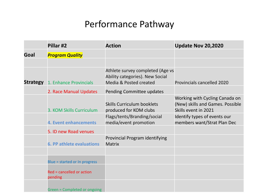#### Performance Pathway

|                 | Pillar #2                            | <b>Action</b>                                                                                 | <b>Update Nov 20,2020</b>                                                                  |
|-----------------|--------------------------------------|-----------------------------------------------------------------------------------------------|--------------------------------------------------------------------------------------------|
| Goal            | <b>Program Quality</b>               |                                                                                               |                                                                                            |
|                 |                                      |                                                                                               |                                                                                            |
| <b>Strategy</b> | 1. Enhance Provincials               | Athlete survey completed (Age vs<br>Ability categories). New Social<br>Media & Posted created | <b>Provincials cancelled 2020</b>                                                          |
|                 | 2. Race Manual Updates               | Pending Committee updates                                                                     |                                                                                            |
|                 | 3. KOM Skills Curriculum             | <b>Skills Curriculum booklets</b><br>produced for KOM clubs                                   | Working with Cycling Canada on<br>(New) skills and Games. Possible<br>Skills event in 2021 |
|                 | <b>4. Event enhancements</b>         | Flags/tents/Branding/social<br>media/event promotion                                          | Identify types of events our<br>members want/Strat Plan Dec                                |
|                 | 5. ID new Road venues                |                                                                                               |                                                                                            |
|                 | <b>6. PP athlete evaluations</b>     | Provincial Program identifying<br><b>Matrix</b>                                               |                                                                                            |
|                 |                                      |                                                                                               |                                                                                            |
|                 | Blue = started or In progress        |                                                                                               |                                                                                            |
|                 | Red = cancelled or action<br>pending |                                                                                               |                                                                                            |
|                 | Green = Completed or ongoing         |                                                                                               |                                                                                            |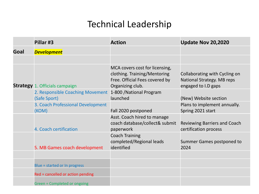#### Technical Leadership

|      | Pillar #3                                        | <b>Action</b>                                                                                                        | <b>Update Nov 20,2020</b>                                                          |
|------|--------------------------------------------------|----------------------------------------------------------------------------------------------------------------------|------------------------------------------------------------------------------------|
| Goal | <b>Development</b>                               |                                                                                                                      |                                                                                    |
|      |                                                  |                                                                                                                      |                                                                                    |
|      | <b>Strategy</b> 1. Officials campaign            | MCA covers cost for licensing,<br>clothing. Training/Mentoring<br>Free. Official Fees covered by<br>Organizing club. | Collaborating with Cycling on<br>National Strategy. MB reps<br>engaged to I.D gaps |
|      | 2. Responsible Coaching Movement<br>(Safe Sport) | 1-800 / National Program<br>launched                                                                                 | (New) Website section                                                              |
|      | 3. Coach Professional Development<br>(KOM)       | Fall 2020 postponed                                                                                                  | Plans to implement annually.<br>Spring 2021 start                                  |
|      | 4. Coach certification                           | Asst. Coach hired to manage<br>coach database/collect& submit<br>paperwork                                           | <b>Reviewing Barriers and Coach</b><br>certification process                       |
|      | 5. MB Games coach development                    | <b>Coach Training</b><br>completed/Regional leads<br>identified                                                      | Summer Games postponed to<br>2024                                                  |
|      |                                                  |                                                                                                                      |                                                                                    |
|      | Blue = started or In progress                    |                                                                                                                      |                                                                                    |
|      | Red = cancelled or action pending                |                                                                                                                      |                                                                                    |
|      | Green = Completed or ongoing                     |                                                                                                                      |                                                                                    |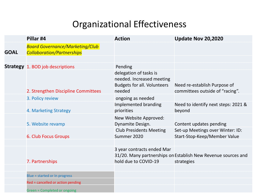#### Organizational Effectiveness

|             | Pillar #4                                                                   | <b>Action</b>                                                                                       | <b>Update Nov 20,2020</b>                                                   |
|-------------|-----------------------------------------------------------------------------|-----------------------------------------------------------------------------------------------------|-----------------------------------------------------------------------------|
| <b>GOAL</b> | <b>Board Governance/Marketing/Club</b><br><b>Collaboration/Partnerships</b> |                                                                                                     |                                                                             |
|             |                                                                             |                                                                                                     |                                                                             |
|             | <b>Strategy</b> 1. BOD job descriptions                                     | Pending                                                                                             |                                                                             |
|             | 2. Strengthen Discipline Committees                                         | delegation of tasks is<br>needed. Increased meeting<br><b>Budgets for all. Volunteers</b><br>needed | Need re-establish Purpose of<br>committees outside of "racing".             |
|             | 3. Policy review                                                            | ongoing as needed                                                                                   |                                                                             |
|             | 4. Marketing Strategy                                                       | Implemented branding<br>priorities                                                                  | Need to identify next steps: 2021 &<br>beyond                               |
|             | 5. Website revamp                                                           | New Website Approved:<br>Dynamite Design.                                                           | Content updates pending                                                     |
|             | <b>6. Club Focus Groups</b>                                                 | <b>Club Presidents Meeting</b><br>Summer 2020                                                       | Set-up Meetings over Winter: ID:<br>Start-Stop-Keep/Member Value            |
|             |                                                                             |                                                                                                     |                                                                             |
|             | 7. Partnerships                                                             | 3 year contracts ended Mar<br>hold due to COVID-19                                                  | 31/20. Many partnerships on Establish New Revenue sources and<br>strategies |
|             |                                                                             |                                                                                                     |                                                                             |
|             | Blue = started or In progress                                               |                                                                                                     |                                                                             |
|             | Red = cancelled or action pending                                           |                                                                                                     |                                                                             |
|             | Green = Completed or ongoing                                                |                                                                                                     |                                                                             |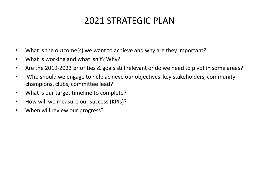#### 2021 STRATEGIC PLAN

- What is the outcome(s) we want to achieve and why are they important?
- What is working and what isn't? Why?
- Are the 2019-2023 priorities & goals still relevant or do we need to pivot in some areas?
- Who should we engage to help achieve our objectives: key stakeholders, community champions, clubs, committee lead?
- What is our target timeline to complete?
- How will we measure our success (KPIs)?
- When will review our progress?